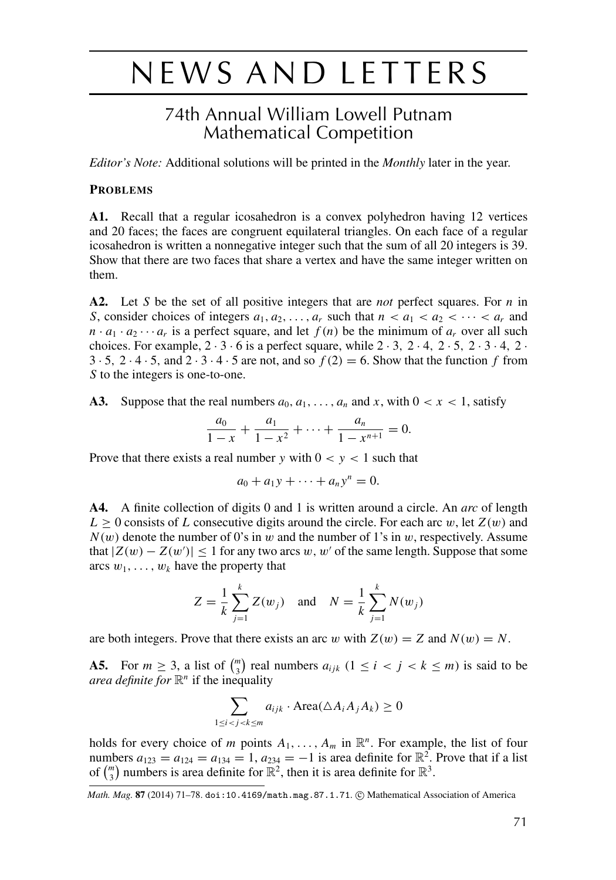## NEWS AND LETTERS

## 74th Annual William Lowell Putnam **Mathematical Competition**

Editor's Note: Additional solutions will be printed in the Monthly later in the year.

## **PROBLEMS**

A1. Recall that a regular icosahedron is a convex polyhedron having 12 vertices and 20 faces; the faces are congruent equilateral triangles. On each face of a regular icosahedron is written a nonnegative integer such that the sum of all 20 integers is 39. Show that there are two faces that share a vertex and have the same integer written on them.

A2. Let S be the set of all positive integers that are *not* perfect squares. For  $n$  in S, consider choices of integers  $a_1, a_2, \dots, a_r$  such that  $n < a_1 < a_2 < \dots < a_r$  and  $n \cdot a_1 \cdot a_2 \cdots a_r$  is a perfect square, and let  $f(n)$  be the minimum of  $a_r$  over all such choices. For example,  $2 \cdot 3 \cdot 6$  is a perfect square, while  $2 \cdot 3$ ,  $2 \cdot 4$ ,  $2 \cdot 5$ ,  $2 \cdot 3 \cdot 4$ ,  $2 \cdot 5$  $3 \cdot 5$ ,  $2 \cdot 4 \cdot 5$ , and  $2 \cdot 3 \cdot 4 \cdot 5$  are not, and so  $f(2) = 6$ . Show that the function f from S to the integers is one-to-one.

Suppose that the real numbers  $a_0, a_1, \ldots, a_n$  and x, with  $0 < x < 1$ , satisfy A3.

$$
\frac{a_0}{1-x} + \frac{a_1}{1-x^2} + \dots + \frac{a_n}{1-x^{n+1}} = 0.
$$

Prove that there exists a real number y with  $0 < y < 1$  such that

$$
a_0+a_1y+\cdots+a_ny^n=0.
$$

A finite collection of digits 0 and 1 is written around a circle. An arc of length A4.  $L \geq 0$  consists of L consecutive digits around the circle. For each arc w, let  $Z(w)$  and  $N(w)$  denote the number of 0's in w and the number of 1's in w, respectively. Assume that  $|Z(w) - Z(w')| \le 1$  for any two arcs w, w' of the same length. Suppose that some arcs  $w_1, \ldots, w_k$  have the property that

$$
Z = \frac{1}{k} \sum_{j=1}^{k} Z(w_j) \text{ and } N = \frac{1}{k} \sum_{j=1}^{k} N(w_j)
$$

are both integers. Prove that there exists an arc w with  $Z(w) = Z$  and  $N(w) = N$ .

**A5.** For  $m \ge 3$ , a list of  $\binom{m}{3}$  real numbers  $a_{ijk}$   $(1 \le i \le j \le k \le m)$  is said to be *area definite for*  $\mathbb{R}^n$  if the inequality

$$
\sum_{1 \le i < j < k \le m} a_{ijk} \cdot \text{Area}(\Delta A_i A_j A_k) \ge 0
$$

holds for every choice of m points  $A_1, \ldots, A_m$  in  $\mathbb{R}^n$ . For example, the list of four numbers  $a_{123} = a_{124} = a_{134} = 1$ ,  $a_{234} = -1$  is area definite for  $\mathbb{R}^2$ . Prove that if a list of  $\binom{m}{2}$  numbers is area definite for  $\mathbb{R}^2$ , then it is area definite for  $\mathbb{R}^3$ .

Math. Mag. 87 (2014) 71-78. doi:10.4169/math.mag.87.1.71. @ Mathematical Association of America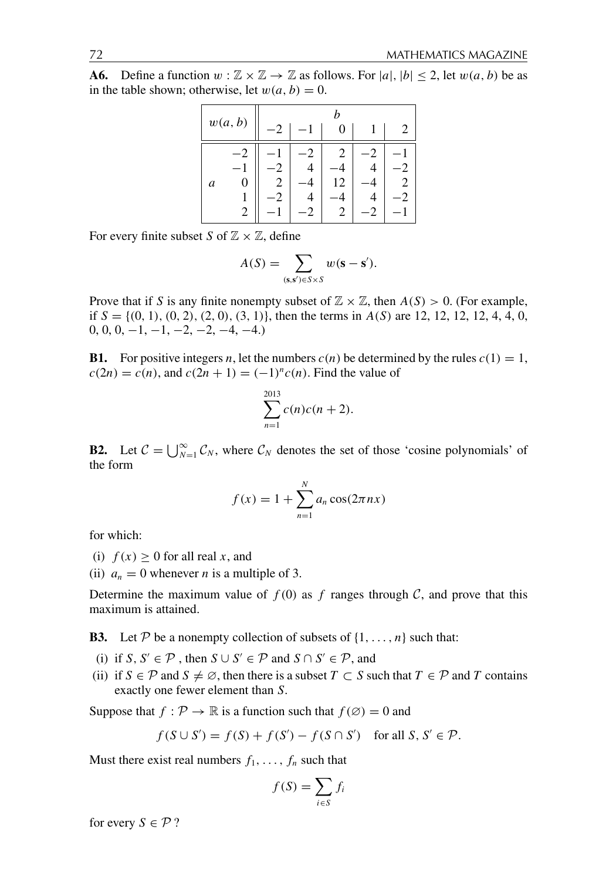Define a function  $w : \mathbb{Z} \times \mathbb{Z} \to \mathbb{Z}$  as follows. For  $|a|, |b| \leq 2$ , let  $w(a, b)$  be as  $A6.$ in the table shown; otherwise, let  $w(a, b) = 0$ .

| w(a, b) |   |  |  |   |  |  |
|---------|---|--|--|---|--|--|
|         |   |  |  | O |  |  |
|         |   |  |  |   |  |  |
|         |   |  |  |   |  |  |
| a       | 0 |  |  | 2 |  |  |
|         |   |  |  |   |  |  |
|         | 2 |  |  | Ζ |  |  |

For every finite subset S of  $\mathbb{Z} \times \mathbb{Z}$ , define

$$
A(S) = \sum_{(\mathbf{s}, \mathbf{s}') \in S \times S} w(\mathbf{s} - \mathbf{s}').
$$

Prove that if S is any finite nonempty subset of  $\mathbb{Z} \times \mathbb{Z}$ , then  $A(S) > 0$ . (For example, if  $S = \{(0, 1), (0, 2), (2, 0), (3, 1)\}\$ , then the terms in  $A(S)$  are 12, 12, 12, 12, 4, 4, 0,  $0, 0, 0, -1, -1, -2, -2, -4, -4.$ 

**B1.** For positive integers n, let the numbers  $c(n)$  be determined by the rules  $c(1) = 1$ ,  $c(2n) = c(n)$ , and  $c(2n + 1) = (-1)^n c(n)$ . Find the value of

$$
\sum_{n=1}^{2013} c(n)c(n+2).
$$

**B2.** Let  $C = \bigcup_{N=1}^{\infty} C_N$ , where  $C_N$  denotes the set of those 'cosine polynomials' of the form

$$
f(x) = 1 + \sum_{n=1}^{N} a_n \cos(2\pi nx)
$$

for which:

- (i)  $f(x) \ge 0$  for all real x, and
- (ii)  $a_n = 0$  whenever *n* is a multiple of 3.

Determine the maximum value of  $f(0)$  as f ranges through C, and prove that this maximum is attained.

**B3.** Let P be a nonempty collection of subsets of  $\{1, \ldots, n\}$  such that:

- (i) if S, S'  $\in \mathcal{P}$ , then  $S \cup S' \in \mathcal{P}$  and  $S \cap S' \in \mathcal{P}$ , and
- (ii) if  $S \in \mathcal{P}$  and  $S \neq \emptyset$ , then there is a subset  $T \subset S$  such that  $T \in \mathcal{P}$  and T contains exactly one fewer element than S.

Suppose that  $f : \mathcal{P} \to \mathbb{R}$  is a function such that  $f(\emptyset) = 0$  and

$$
f(S \cup S') = f(S) + f(S') - f(S \cap S') \quad \text{for all } S, S' \in \mathcal{P}.
$$

Must there exist real numbers  $f_1, \ldots, f_n$  such that

$$
f(S) = \sum_{i \in S} f_i
$$

for every  $S \in \mathcal{P}$ ?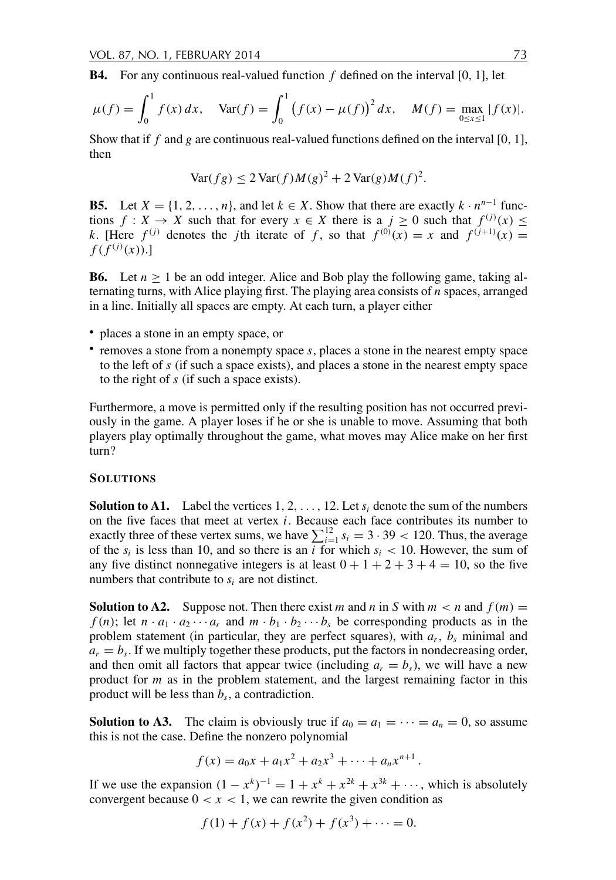**B4.** For any continuous real-valued function  $f$  defined on the interval [0, 1], let

$$
\mu(f) = \int_0^1 f(x) dx, \quad \text{Var}(f) = \int_0^1 (f(x) - \mu(f))^2 dx, \quad M(f) = \max_{0 \le x \le 1} |f(x)|.
$$

Show that if  $f$  and  $g$  are continuous real-valued functions defined on the interval [0, 1], then

$$
\text{Var}(fg) \le 2\text{Var}(f)M(g)^2 + 2\text{Var}(g)M(f)^2
$$

**B5.** Let  $X = \{1, 2, ..., n\}$ , and let  $k \in X$ . Show that there are exactly  $k \cdot n^{n-1}$  functions  $f: X \to X$  such that for every  $x \in X$  there is a  $j \ge 0$  such that  $f^{(j)}(x) \le$ k. [Here  $f^{(j)}$  denotes the jth iterate of f, so that  $f^{(0)}(x) = x$  and  $f^{(j+1)}(x) = x$  $f(f^{(j)}(x))$ .]

**B6.** Let  $n \ge 1$  be an odd integer. Alice and Bob play the following game, taking alternating turns, with Alice playing first. The playing area consists of  $n$  spaces, arranged in a line. Initially all spaces are empty. At each turn, a player either

- places a stone in an empty space, or
- $\bullet$  removes a stone from a nonempty space s, places a stone in the nearest empty space to the left of s (if such a space exists), and places a stone in the nearest empty space to the right of  $s$  (if such a space exists).

Furthermore, a move is permitted only if the resulting position has not occurred previously in the game. A player loses if he or she is unable to move. Assuming that both players play optimally throughout the game, what moves may Alice make on her first  $turn?$ 

## **SOLUTIONS**

**Solution to A1.** Label the vertices 1, 2, ..., 12. Let  $s_i$  denote the sum of the numbers on the five faces that meet at vertex *i*. Because each face contributes its number to exactly three of these vertex sums, we have  $\sum_{i=1}^{12} s_i = 3 \cdot 39 < 120$ . Thus, the average of the  $s_i$  is less than 10, and so there is an i for which  $s_i$  < 10. However, the sum of any five distinct nonnegative integers is at least  $0 + 1 + 2 + 3 + 4 = 10$ , so the five numbers that contribute to  $s_i$  are not distinct.

**Solution to A2.** Suppose not. Then there exist m and n in S with  $m < n$  and  $f(m) =$  $f(n)$ ; let  $n \cdot a_1 \cdot a_2 \cdots a_r$  and  $m \cdot b_1 \cdot b_2 \cdots b_s$  be corresponding products as in the problem statement (in particular, they are perfect squares), with  $a_r$ ,  $b_s$  minimal and  $a_r = b_s$ . If we multiply together these products, put the factors in nondecreasing order, and then omit all factors that appear twice (including  $a_r = b_s$ ), we will have a new product for  $m$  as in the problem statement, and the largest remaining factor in this product will be less than  $b_s$ , a contradiction.

**Solution to A3.** The claim is obviously true if  $a_0 = a_1 = \cdots = a_n = 0$ , so assume this is not the case. Define the nonzero polynomial

$$
f(x) = a_0x + a_1x^2 + a_2x^3 + \cdots + a_nx^{n+1}.
$$

If we use the expansion  $(1 - x^k)^{-1} = 1 + x^k + x^{2k} + x^{3k} + \cdots$ , which is absolutely convergent because  $0 < x < 1$ , we can rewrite the given condition as

$$
f(1) + f(x) + f(x^2) + f(x^3) + \dots = 0.
$$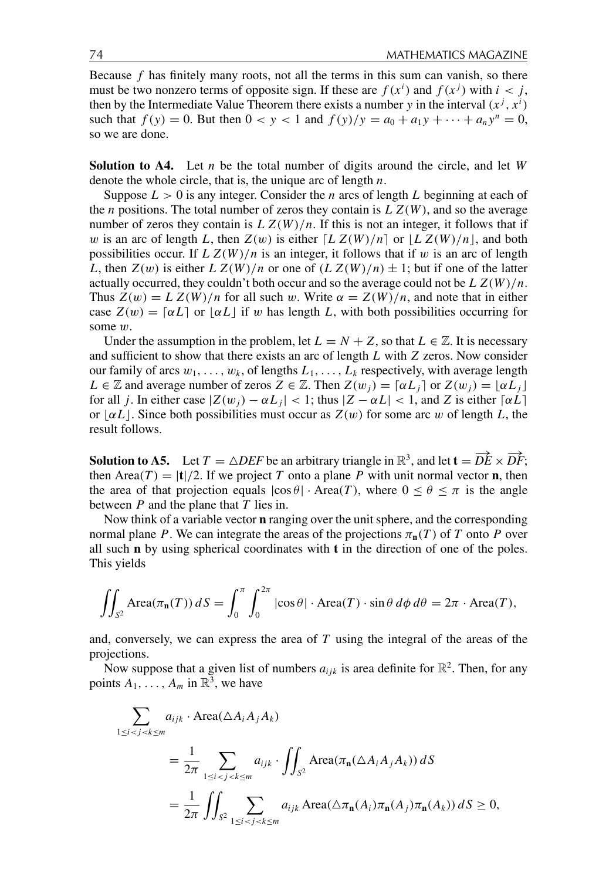Because  $f$  has finitely many roots, not all the terms in this sum can vanish, so there must be two nonzero terms of opposite sign. If these are  $f(x^i)$  and  $f(x^j)$  with  $i < j$ , then by the Intermediate Value Theorem there exists a number y in the interval  $(x^{j}, x^{i})$ such that  $f(y) = 0$ . But then  $0 < y < 1$  and  $f(y)/y = a_0 + a_1y + \cdots + a_ny^n = 0$ , so we are done.

**Solution to A4.** Let  $n$  be the total number of digits around the circle, and let  $W$ denote the whole circle, that is, the unique arc of length  $n$ .

Suppose  $L > 0$  is any integer. Consider the *n* arcs of length L beginning at each of the *n* positions. The total number of zeros they contain is  $LZ(W)$ , and so the average number of zeros they contain is  $LZ(W)/n$ . If this is not an integer, it follows that if w is an arc of length L, then  $Z(w)$  is either  $[L Z(W)/n]$  or  $[L Z(W)/n]$ , and both possibilities occur. If  $LZ(W)/n$  is an integer, it follows that if w is an arc of length L, then  $Z(w)$  is either  $L Z(W)/n$  or one of  $(L Z(W)/n) \pm 1$ ; but if one of the latter actually occurred, they couldn't both occur and so the average could not be  $L Z(W)/n$ . Thus  $Z(w) = L Z(W)/n$  for all such w. Write  $\alpha = Z(W)/n$ , and note that in either case  $Z(w) = [\alpha L]$  or  $[\alpha L]$  if w has length L, with both possibilities occurring for some  $w$ .

Under the assumption in the problem, let  $L = N + Z$ , so that  $L \in \mathbb{Z}$ . It is necessary and sufficient to show that there exists an arc of length  $L$  with  $Z$  zeros. Now consider our family of arcs  $w_1, \ldots, w_k$ , of lengths  $L_1, \ldots, L_k$  respectively, with average length  $L \in \mathbb{Z}$  and average number of zeros  $Z \in \mathbb{Z}$ . Then  $Z(w_i) = [\alpha L_i]$  or  $Z(w_i) = |\alpha L_i|$ for all j. In either case  $|Z(w_i) - \alpha L_i| < 1$ ; thus  $|Z - \alpha L| < 1$ , and Z is either  $\lceil \alpha L \rceil$ or  $\lfloor \alpha L \rfloor$ . Since both possibilities must occur as  $Z(w)$  for some arc w of length L, the result follows.

**Solution to A5.** Let  $T = \triangle DEF$  be an arbitrary triangle in  $\mathbb{R}^3$ , and let  $\mathbf{t} = \overrightarrow{DE} \times \overrightarrow{DF}$ ; then Area(T) = |t|/2. If we project T onto a plane P with unit normal vector **n**, then the area of that projection equals  $|\cos \theta| \cdot \text{Area}(T)$ , where  $0 \le \theta \le \pi$  is the angle between  $P$  and the plane that  $T$  lies in.

Now think of a variable vector **n** ranging over the unit sphere, and the corresponding normal plane P. We can integrate the areas of the projections  $\pi_n(T)$  of T onto P over all such  $n$  by using spherical coordinates with  $t$  in the direction of one of the poles. This yields

$$
\iint_{S^2} \text{Area}(\pi_{\mathbf{n}}(T)) dS = \int_0^{\pi} \int_0^{2\pi} |\cos \theta| \cdot \text{Area}(T) \cdot \sin \theta d\phi d\theta = 2\pi \cdot \text{Area}(T),
$$

and, conversely, we can express the area of  $T$  using the integral of the areas of the projections.

Now suppose that a given list of numbers  $a_{ijk}$  is area definite for  $\mathbb{R}^2$ . Then, for any points  $A_1, \ldots, A_m$  in  $\mathbb{R}^3$ , we have

$$
\sum_{1 \le i < j < k \le m} a_{ijk} \cdot \text{Area}(\triangle A_i A_j A_k)
$$
\n
$$
= \frac{1}{2\pi} \sum_{1 \le i < j < k \le m} a_{ijk} \cdot \iint_{S^2} \text{Area}(\pi_{\mathbf{n}}(\triangle A_i A_j A_k)) \, dS
$$
\n
$$
= \frac{1}{2\pi} \iint_{S^2} \sum_{1 \le i < j < k \le m} a_{ijk} \text{Area}(\triangle \pi_{\mathbf{n}}(A_i) \pi_{\mathbf{n}}(A_j) \pi_{\mathbf{n}}(A_k)) \, dS \ge 0,
$$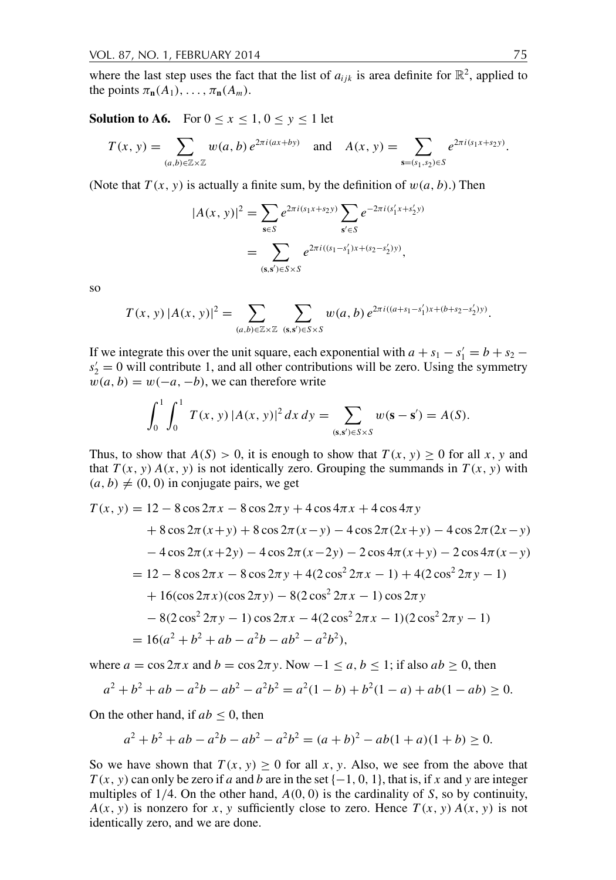where the last step uses the fact that the list of  $a_{ijk}$  is area definite for  $\mathbb{R}^2$ , applied to the points  $\pi_{n}(A_1), \ldots, \pi_{n}(A_m)$ .

**Solution to A6.** For  $0 \le x \le 1, 0 \le y \le 1$  let

$$
T(x, y) = \sum_{(a, b) \in \mathbb{Z} \times \mathbb{Z}} w(a, b) e^{2\pi i (ax + by)} \text{ and } A(x, y) = \sum_{\mathbf{s} = (s_1, s_2) \in S} e^{2\pi i (s_1 x + s_2 y)}
$$

(Note that  $T(x, y)$  is actually a finite sum, by the definition of  $w(a, b)$ .) Then

$$
|A(x, y)|^2 = \sum_{s \in S} e^{2\pi i (s_1 x + s_2 y)} \sum_{s' \in S} e^{-2\pi i (s'_1 x + s'_2 y)} = \sum_{(s, s') \in S \times S} e^{2\pi i ((s_1 - s'_1) x + (s_2 - s'_2) y)},
$$

<sub>SO</sub>

$$
T(x, y) |A(x, y)|^2 = \sum_{(a, b) \in \mathbb{Z} \times \mathbb{Z}} \sum_{(\mathbf{s}, \mathbf{s}') \in S \times S} w(a, b) e^{2\pi i ((a + s_1 - s'_1)x + (b + s_2 - s'_2)y)}
$$

If we integrate this over the unit square, each exponential with  $a + s_1 - s'_1 = b + s_2$  $s'_2 = 0$  will contribute 1, and all other contributions will be zero. Using the symmetry  $w(a, b) = w(-a, -b)$ , we can therefore write

$$
\int_0^1 \int_0^1 T(x, y) |A(x, y)|^2 dx dy = \sum_{(\mathbf{s}, \mathbf{s}') \in S \times S} w(\mathbf{s} - \mathbf{s}') = A(S).
$$

Thus, to show that  $A(S) > 0$ , it is enough to show that  $T(x, y) \ge 0$  for all x, y and that  $T(x, y) A(x, y)$  is not identically zero. Grouping the summands in  $T(x, y)$  with  $(a, b) \neq (0, 0)$  in conjugate pairs, we get

$$
T(x, y) = 12 - 8\cos 2\pi x - 8\cos 2\pi y + 4\cos 4\pi x + 4\cos 4\pi y
$$
  
+ 8 cos 2 $\pi$ (x+y) + 8 cos 2 $\pi$ (x-y) - 4 cos 2 $\pi$ (2x+y) - 4 cos 2 $\pi$ (2x-y)  
- 4 cos 2 $\pi$ (x+2y) - 4 cos 2 $\pi$ (x-2y) - 2 cos 4 $\pi$ (x+y) - 2 cos 4 $\pi$ (x-y)  
= 12 - 8 cos 2 $\pi$ x - 8 cos 2 $\pi$ y + 4(2 cos<sup>2</sup> 2 $\pi$ x - 1) + 4(2 cos<sup>2</sup> 2 $\pi$ y - 1)  
+ 16(cos 2 $\pi$ x)(cos 2 $\pi$ y) - 8(2 cos<sup>2</sup> 2 $\pi$ x - 1) cos 2 $\pi$ y  
- 8(2 cos<sup>2</sup> 2 $\pi$ y - 1) cos 2 $\pi$ x - 4(2 cos<sup>2</sup> 2 $\pi$ x - 1)(2 cos<sup>2</sup> 2 $\pi$ y - 1)  
= 16( $a^2$  +  $b^2$  +  $ab$  -  $a^2b$  -  $ab^2$  -  $a^2b^2$ ),

where  $a = \cos 2\pi x$  and  $b = \cos 2\pi y$ . Now  $-1 \le a, b \le 1$ ; if also  $ab \ge 0$ , then

$$
a^{2} + b^{2} + ab - a^{2}b - ab^{2} - a^{2}b^{2} = a^{2}(1 - b) + b^{2}(1 - a) + ab(1 - ab) \ge 0.
$$

On the other hand, if  $ab < 0$ , then

$$
a^{2} + b^{2} + ab - a^{2}b - ab^{2} - a^{2}b^{2} = (a + b)^{2} - ab(1 + a)(1 + b) \ge 0
$$

So we have shown that  $T(x, y) \ge 0$  for all x, y. Also, we see from the above that  $T(x, y)$  can only be zero if a and b are in the set  $\{-1, 0, 1\}$ , that is, if x and y are integer multiples of  $1/4$ . On the other hand,  $A(0, 0)$  is the cardinality of S, so by continuity,  $A(x, y)$  is nonzero for x, y sufficiently close to zero. Hence  $T(x, y) A(x, y)$  is not identically zero, and we are done.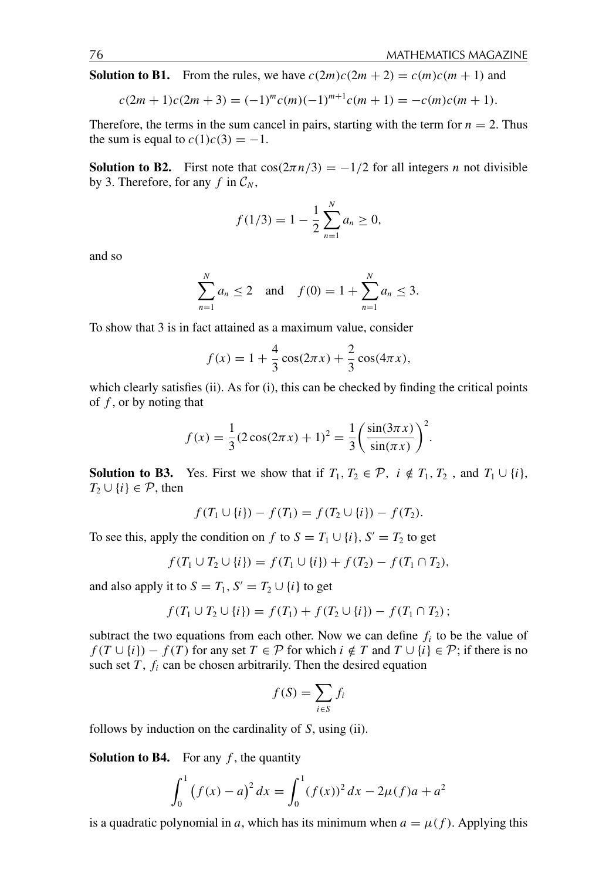**Solution to B1.** From the rules, we have  $c(2m)c(2m+2) = c(m)c(m+1)$  and

$$
c(2m + 1)c(2m + 3) = (-1)^{m}c(m)(-1)^{m+1}c(m + 1) = -c(m)c(m + 1).
$$

Therefore, the terms in the sum cancel in pairs, starting with the term for  $n = 2$ . Thus the sum is equal to  $c(1)c(3) = -1$ .

**Solution to B2.** First note that  $\cos(2\pi n/3) = -1/2$  for all integers *n* not divisible by 3. Therefore, for any f in  $C_N$ ,

$$
f(1/3) = 1 - \frac{1}{2} \sum_{n=1}^{N} a_n \ge 0,
$$

and so

$$
\sum_{n=1}^{N} a_n \le 2 \quad \text{and} \quad f(0) = 1 + \sum_{n=1}^{N} a_n \le 3.
$$

To show that 3 is in fact attained as a maximum value, consider

$$
f(x) = 1 + \frac{4}{3}\cos(2\pi x) + \frac{2}{3}\cos(4\pi x),
$$

which clearly satisfies (ii). As for (i), this can be checked by finding the critical points of  $f$ , or by noting that

$$
f(x) = \frac{1}{3}(2\cos(2\pi x) + 1)^2 = \frac{1}{3}\left(\frac{\sin(3\pi x)}{\sin(\pi x)}\right)^2.
$$

**Solution to B3.** Yes. First we show that if  $T_1, T_2 \in \mathcal{P}$ ,  $i \notin T_1, T_2$ , and  $T_1 \cup \{i\}$ ,  $T_2 \cup \{i\} \in \mathcal{P}$ , then

$$
f(T_1 \cup \{i\}) - f(T_1) = f(T_2 \cup \{i\}) - f(T_2).
$$

To see this, apply the condition on f to  $S = T_1 \cup \{i\}$ ,  $S' = T_2$  to get

$$
f(T_1 \cup T_2 \cup \{i\}) = f(T_1 \cup \{i\}) + f(T_2) - f(T_1 \cap T_2),
$$

and also apply it to  $S = T_1$ ,  $S' = T_2 \cup \{i\}$  to get

$$
f(T_1 \cup T_2 \cup \{i\}) = f(T_1) + f(T_2 \cup \{i\}) - f(T_1 \cap T_2);
$$

subtract the two equations from each other. Now we can define  $f_i$  to be the value of  $f(T \cup \{i\}) - f(T)$  for any set  $T \in \mathcal{P}$  for which  $i \notin T$  and  $T \cup \{i\} \in \mathcal{P}$ ; if there is no such set  $T$ ,  $f_i$  can be chosen arbitrarily. Then the desired equation

$$
f(S) = \sum_{i \in S} f_i
$$

follows by induction on the cardinality of  $S$ , using (ii).

**Solution to B4.** For any  $f$ , the quantity

$$
\int_0^1 (f(x) - a)^2 dx = \int_0^1 (f(x))^2 dx - 2\mu(f)a + a^2
$$

is a quadratic polynomial in a, which has its minimum when  $a = \mu(f)$ . Applying this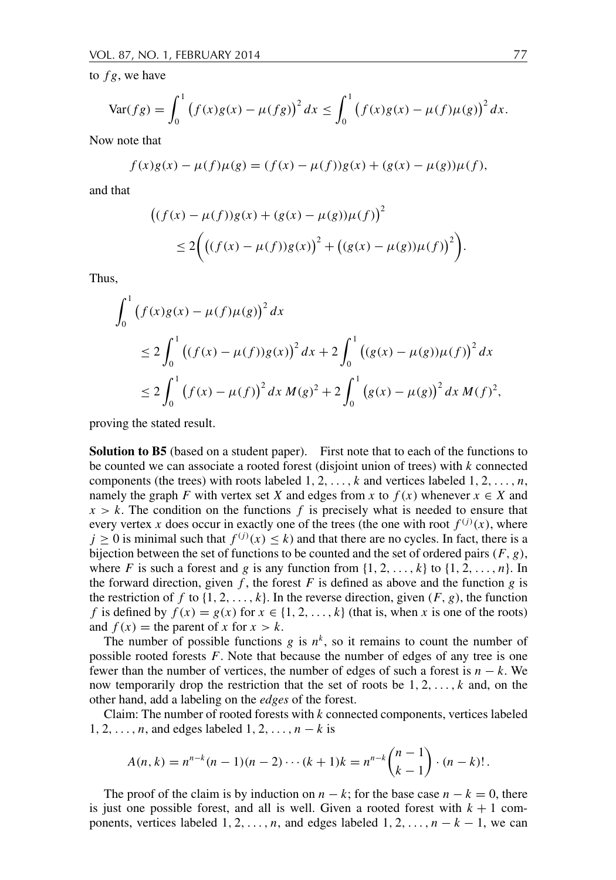to  $fg$ , we have

$$
\text{Var}(fg) = \int_0^1 (f(x)g(x) - \mu(fg))^2 dx \le \int_0^1 (f(x)g(x) - \mu(f)\mu(g))^2 dx.
$$

Now note that

$$
f(x)g(x) - \mu(f)\mu(g) = (f(x) - \mu(f))g(x) + (g(x) - \mu(g))\mu(f),
$$

and that

$$
((f(x) - \mu(f))g(x) + (g(x) - \mu(g))\mu(f))^2
$$
  
\n
$$
\leq 2\Big(((f(x) - \mu(f))g(x))^2 + ((g(x) - \mu(g))\mu(f))^2\Big).
$$

Thus.

$$
\int_0^1 (f(x)g(x) - \mu(f)\mu(g))^2 dx
$$
  
\n
$$
\leq 2 \int_0^1 ((f(x) - \mu(f))g(x))^2 dx + 2 \int_0^1 ((g(x) - \mu(g))\mu(f))^2 dx
$$
  
\n
$$
\leq 2 \int_0^1 (f(x) - \mu(f))^2 dx M(g)^2 + 2 \int_0^1 (g(x) - \mu(g))^2 dx M(f)^2,
$$

proving the stated result.

**Solution to B5** (based on a student paper). First note that to each of the functions to be counted we can associate a rooted forest (disjoint union of trees) with k connected components (the trees) with roots labeled  $1, 2, ..., k$  and vertices labeled  $1, 2, ..., n$ , namely the graph F with vertex set X and edges from x to  $f(x)$  whenever  $x \in X$  and  $x > k$ . The condition on the functions f is precisely what is needed to ensure that every vertex x does occur in exactly one of the trees (the one with root  $f^{(j)}(x)$ , where  $j \ge 0$  is minimal such that  $f^{(j)}(x) \le k$ ) and that there are no cycles. In fact, there is a bijection between the set of functions to be counted and the set of ordered pairs  $(F, g)$ , where F is such a forest and g is any function from  $\{1, 2, ..., k\}$  to  $\{1, 2, ..., n\}$ . In the forward direction, given  $f$ , the forest  $F$  is defined as above and the function  $g$  is the restriction of f to  $\{1, 2, ..., k\}$ . In the reverse direction, given  $(F, g)$ , the function f is defined by  $f(x) = g(x)$  for  $x \in \{1, 2, ..., k\}$  (that is, when x is one of the roots) and  $f(x)$  = the parent of x for  $x > k$ .

The number of possible functions g is  $n^k$ , so it remains to count the number of possible rooted forests  $F$ . Note that because the number of edges of any tree is one fewer than the number of vertices, the number of edges of such a forest is  $n - k$ . We now temporarily drop the restriction that the set of roots be  $1, 2, ..., k$  and, on the other hand, add a labeling on the *edges* of the forest.

Claim: The number of rooted forests with  $k$  connected components, vertices labeled  $1, 2, \ldots, n$ , and edges labeled  $1, 2, \ldots, n-k$  is

$$
A(n,k) = n^{n-k}(n-1)(n-2)\cdots(k+1)k = n^{n-k}\binom{n-1}{k-1}\cdot(n-k)!
$$

The proof of the claim is by induction on  $n - k$ ; for the base case  $n - k = 0$ , there is just one possible forest, and all is well. Given a rooted forest with  $k + 1$  components, vertices labeled  $1, 2, ..., n$ , and edges labeled  $1, 2, ..., n - k - 1$ , we can